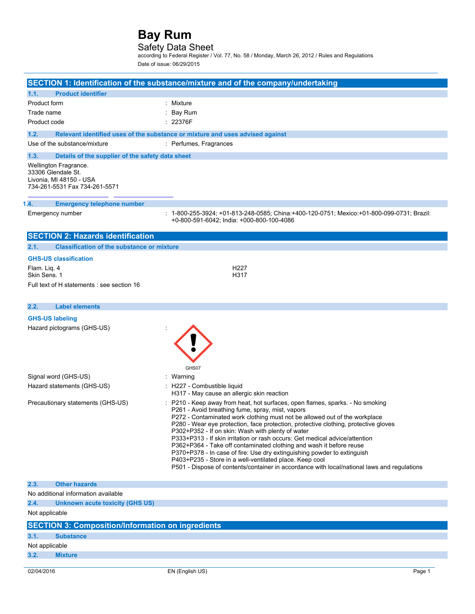## Safety Data Sheet

according to Federal Register / Vol. 77, No. 58 / Monday, March 26, 2012 / Rules and Regulations Date of issue: 06/29/2015

|                                                                                                         | SECTION 1: Identification of the substance/mixture and of the company/undertaking                                                                                                                                                                                                                                                                                                                                                                                                                                                                                                                                                                                                                                                                      |
|---------------------------------------------------------------------------------------------------------|--------------------------------------------------------------------------------------------------------------------------------------------------------------------------------------------------------------------------------------------------------------------------------------------------------------------------------------------------------------------------------------------------------------------------------------------------------------------------------------------------------------------------------------------------------------------------------------------------------------------------------------------------------------------------------------------------------------------------------------------------------|
| 1.1.<br><b>Product identifier</b>                                                                       |                                                                                                                                                                                                                                                                                                                                                                                                                                                                                                                                                                                                                                                                                                                                                        |
| Product form                                                                                            | : Mixture                                                                                                                                                                                                                                                                                                                                                                                                                                                                                                                                                                                                                                                                                                                                              |
| Trade name                                                                                              | Bay Rum                                                                                                                                                                                                                                                                                                                                                                                                                                                                                                                                                                                                                                                                                                                                                |
| Product code                                                                                            | : 22376F                                                                                                                                                                                                                                                                                                                                                                                                                                                                                                                                                                                                                                                                                                                                               |
| 1.2.                                                                                                    | Relevant identified uses of the substance or mixture and uses advised against                                                                                                                                                                                                                                                                                                                                                                                                                                                                                                                                                                                                                                                                          |
| Use of the substance/mixture                                                                            | : Perfumes, Fragrances                                                                                                                                                                                                                                                                                                                                                                                                                                                                                                                                                                                                                                                                                                                                 |
| 1.3.<br>Details of the supplier of the safety data sheet                                                |                                                                                                                                                                                                                                                                                                                                                                                                                                                                                                                                                                                                                                                                                                                                                        |
| Wellington Fragrance.<br>33306 Glendale St.<br>Livonia, MI 48150 - USA<br>734-261-5531 Fax 734-261-5571 |                                                                                                                                                                                                                                                                                                                                                                                                                                                                                                                                                                                                                                                                                                                                                        |
| 1.4.<br><b>Emergency telephone number</b>                                                               |                                                                                                                                                                                                                                                                                                                                                                                                                                                                                                                                                                                                                                                                                                                                                        |
| Emergency number                                                                                        | : 1-800-255-3924; +01-813-248-0585; China:+400-120-0751; Mexico:+01-800-099-0731; Brazil:<br>+0-800-591-6042; India: +000-800-100-4086                                                                                                                                                                                                                                                                                                                                                                                                                                                                                                                                                                                                                 |
| <b>SECTION 2: Hazards identification</b>                                                                |                                                                                                                                                                                                                                                                                                                                                                                                                                                                                                                                                                                                                                                                                                                                                        |
| 2.1.<br><b>Classification of the substance or mixture</b>                                               |                                                                                                                                                                                                                                                                                                                                                                                                                                                                                                                                                                                                                                                                                                                                                        |
| <b>GHS-US classification</b>                                                                            |                                                                                                                                                                                                                                                                                                                                                                                                                                                                                                                                                                                                                                                                                                                                                        |
| Flam. Lig. 4<br>Skin Sens. 1                                                                            | H227<br>H317                                                                                                                                                                                                                                                                                                                                                                                                                                                                                                                                                                                                                                                                                                                                           |
| Full text of H statements : see section 16                                                              |                                                                                                                                                                                                                                                                                                                                                                                                                                                                                                                                                                                                                                                                                                                                                        |
|                                                                                                         |                                                                                                                                                                                                                                                                                                                                                                                                                                                                                                                                                                                                                                                                                                                                                        |
| <b>Label elements</b><br>2.2.                                                                           |                                                                                                                                                                                                                                                                                                                                                                                                                                                                                                                                                                                                                                                                                                                                                        |
| <b>GHS-US labeling</b>                                                                                  |                                                                                                                                                                                                                                                                                                                                                                                                                                                                                                                                                                                                                                                                                                                                                        |
| Hazard pictograms (GHS-US)                                                                              |                                                                                                                                                                                                                                                                                                                                                                                                                                                                                                                                                                                                                                                                                                                                                        |
| Signal word (GHS-US)                                                                                    | GHS07<br>: Warning                                                                                                                                                                                                                                                                                                                                                                                                                                                                                                                                                                                                                                                                                                                                     |
| Hazard statements (GHS-US)                                                                              | : H227 - Combustible liquid                                                                                                                                                                                                                                                                                                                                                                                                                                                                                                                                                                                                                                                                                                                            |
|                                                                                                         | H317 - May cause an allergic skin reaction                                                                                                                                                                                                                                                                                                                                                                                                                                                                                                                                                                                                                                                                                                             |
| Precautionary statements (GHS-US)                                                                       | : P210 - Keep away from heat, hot surfaces, open flames, sparks. - No smoking<br>P261 - Avoid breathing fume, spray, mist, vapors<br>P272 - Contaminated work clothing must not be allowed out of the workplace<br>P280 - Wear eye protection, face protection, protective clothing, protective gloves<br>P302+P352 - If on skin: Wash with plenty of water<br>P333+P313 - If skin irritation or rash occurs: Get medical advice/attention<br>P362+P364 - Take off contaminated clothing and wash it before reuse<br>P370+P378 - In case of fire: Use dry extinguishing powder to extinguish<br>P403+P235 - Store in a well-ventilated place. Keep cool<br>P501 - Dispose of contents/container in accordance with local/national laws and regulations |
| 2.3.<br><b>Other hazards</b>                                                                            |                                                                                                                                                                                                                                                                                                                                                                                                                                                                                                                                                                                                                                                                                                                                                        |
| No additional information available                                                                     |                                                                                                                                                                                                                                                                                                                                                                                                                                                                                                                                                                                                                                                                                                                                                        |
| 2.4.<br><b>Unknown acute toxicity (GHS US)</b>                                                          |                                                                                                                                                                                                                                                                                                                                                                                                                                                                                                                                                                                                                                                                                                                                                        |
| Not applicable                                                                                          |                                                                                                                                                                                                                                                                                                                                                                                                                                                                                                                                                                                                                                                                                                                                                        |
| <b>SECTION 3: Composition/Information on ingredients</b>                                                |                                                                                                                                                                                                                                                                                                                                                                                                                                                                                                                                                                                                                                                                                                                                                        |
| 3.1.<br><b>Substance</b>                                                                                |                                                                                                                                                                                                                                                                                                                                                                                                                                                                                                                                                                                                                                                                                                                                                        |
| Not applicable                                                                                          |                                                                                                                                                                                                                                                                                                                                                                                                                                                                                                                                                                                                                                                                                                                                                        |
| 3.2.<br><b>Mixture</b>                                                                                  |                                                                                                                                                                                                                                                                                                                                                                                                                                                                                                                                                                                                                                                                                                                                                        |
|                                                                                                         |                                                                                                                                                                                                                                                                                                                                                                                                                                                                                                                                                                                                                                                                                                                                                        |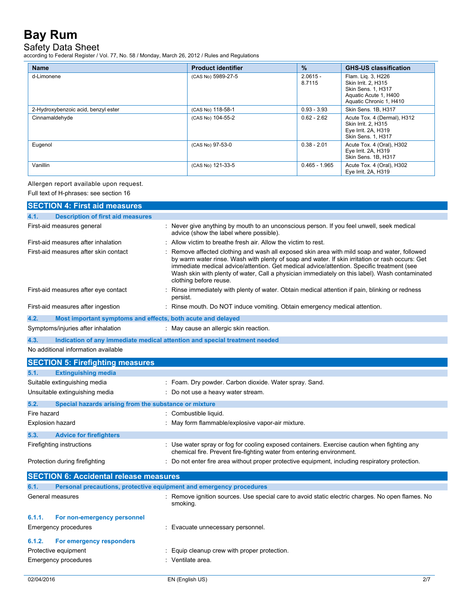# Safety Data Sheet

according to Federal Register / Vol. 77, No. 58 / Monday, March 26, 2012 / Rules and Regulations

| <b>Name</b>                         | <b>Product identifier</b> | $\%$                 | <b>GHS-US classification</b>                                                                                               |
|-------------------------------------|---------------------------|----------------------|----------------------------------------------------------------------------------------------------------------------------|
| d-Limonene                          | (CAS No) 5989-27-5        | $2.0615 -$<br>8.7115 | Flam. Lig. 3, H226<br>Skin Irrit. 2. H315<br><b>Skin Sens. 1. H317</b><br>Aquatic Acute 1, H400<br>Aquatic Chronic 1, H410 |
| 2-Hydroxybenzoic acid, benzyl ester | (CAS No) 118-58-1         | $0.93 - 3.93$        | Skin Sens. 1B, H317                                                                                                        |
| Cinnamaldehyde                      | (CAS No) 104-55-2         | $0.62 - 2.62$        | Acute Tox. 4 (Dermal), H312<br>Skin Irrit. 2. H315<br>Eye Irrit. 2A, H319<br>Skin Sens. 1, H317                            |
| Eugenol                             | (CAS No) 97-53-0          | $0.38 - 2.01$        | Acute Tox. 4 (Oral), H302<br>Eye Irrit. 2A, H319<br>Skin Sens. 1B, H317                                                    |
| Vanillin                            | (CAS No) 121-33-5         | $0.465 - 1.965$      | Acute Tox. 4 (Oral), H302<br>Eye Irrit. 2A, H319                                                                           |

## Allergen report available upon request.

Full text of H-phrases: see section 16

|                                       | <b>SECTION 4: First aid measures</b>                        |                                                                                                                                                                                                                                                                                                                                                                                                                        |  |
|---------------------------------------|-------------------------------------------------------------|------------------------------------------------------------------------------------------------------------------------------------------------------------------------------------------------------------------------------------------------------------------------------------------------------------------------------------------------------------------------------------------------------------------------|--|
| 4.1.                                  | <b>Description of first aid measures</b>                    |                                                                                                                                                                                                                                                                                                                                                                                                                        |  |
| First-aid measures general            |                                                             | : Never give anything by mouth to an unconscious person. If you feel unwell, seek medical<br>advice (show the label where possible).                                                                                                                                                                                                                                                                                   |  |
| First-aid measures after inhalation   |                                                             | : Allow victim to breathe fresh air. Allow the victim to rest.                                                                                                                                                                                                                                                                                                                                                         |  |
| First-aid measures after skin contact |                                                             | Remove affected clothing and wash all exposed skin area with mild soap and water, followed<br>by warm water rinse. Wash with plenty of soap and water. If skin irritation or rash occurs: Get<br>immediate medical advice/attention. Get medical advice/attention. Specific treatment (see<br>Wash skin with plenty of water, Call a physician immediately on this label). Wash contaminated<br>clothing before reuse. |  |
| First-aid measures after eye contact  |                                                             | Rinse immediately with plenty of water. Obtain medical attention if pain, blinking or redness<br>persist.                                                                                                                                                                                                                                                                                                              |  |
| First-aid measures after ingestion    |                                                             | : Rinse mouth. Do NOT induce vomiting. Obtain emergency medical attention.                                                                                                                                                                                                                                                                                                                                             |  |
| 4.2.                                  | Most important symptoms and effects, both acute and delayed |                                                                                                                                                                                                                                                                                                                                                                                                                        |  |
| Symptoms/injuries after inhalation    |                                                             | : May cause an allergic skin reaction.                                                                                                                                                                                                                                                                                                                                                                                 |  |
| 4.3.                                  |                                                             | Indication of any immediate medical attention and special treatment needed                                                                                                                                                                                                                                                                                                                                             |  |
| No additional information available   |                                                             |                                                                                                                                                                                                                                                                                                                                                                                                                        |  |
|                                       | <b>SECTION 5: Firefighting measures</b>                     |                                                                                                                                                                                                                                                                                                                                                                                                                        |  |
| 5.1.                                  | <b>Extinguishing media</b>                                  |                                                                                                                                                                                                                                                                                                                                                                                                                        |  |
| Suitable extinguishing media          |                                                             | : Foam. Dry powder. Carbon dioxide. Water spray. Sand.                                                                                                                                                                                                                                                                                                                                                                 |  |
| Unsuitable extinguishing media        |                                                             | : Do not use a heavy water stream.                                                                                                                                                                                                                                                                                                                                                                                     |  |
| 5.2.                                  | Special hazards arising from the substance or mixture       |                                                                                                                                                                                                                                                                                                                                                                                                                        |  |
| Fire hazard                           |                                                             | : Combustible liquid.                                                                                                                                                                                                                                                                                                                                                                                                  |  |
| <b>Explosion hazard</b>               |                                                             | : May form flammable/explosive vapor-air mixture.                                                                                                                                                                                                                                                                                                                                                                      |  |
| 5.3.                                  | <b>Advice for firefighters</b>                              |                                                                                                                                                                                                                                                                                                                                                                                                                        |  |
| Firefighting instructions             |                                                             | : Use water spray or fog for cooling exposed containers. Exercise caution when fighting any<br>chemical fire. Prevent fire-fighting water from entering environment.                                                                                                                                                                                                                                                   |  |
| Protection during firefighting        |                                                             | : Do not enter fire area without proper protective equipment, including respiratory protection.                                                                                                                                                                                                                                                                                                                        |  |
|                                       | <b>SECTION 6: Accidental release measures</b>               |                                                                                                                                                                                                                                                                                                                                                                                                                        |  |
| 6.1.                                  |                                                             | Personal precautions, protective equipment and emergency procedures                                                                                                                                                                                                                                                                                                                                                    |  |
| General measures                      |                                                             | : Remove ignition sources. Use special care to avoid static electric charges. No open flames. No<br>smoking.                                                                                                                                                                                                                                                                                                           |  |
| 6.1.1.                                | For non-emergency personnel                                 |                                                                                                                                                                                                                                                                                                                                                                                                                        |  |
| Emergency procedures                  |                                                             | : Evacuate unnecessary personnel.                                                                                                                                                                                                                                                                                                                                                                                      |  |
| 6.1.2.                                | For emergency responders                                    |                                                                                                                                                                                                                                                                                                                                                                                                                        |  |
| Protective equipment                  |                                                             | : Equip cleanup crew with proper protection.                                                                                                                                                                                                                                                                                                                                                                           |  |
| Emergency procedures                  |                                                             | : Ventilate area.                                                                                                                                                                                                                                                                                                                                                                                                      |  |
| 02/04/2016                            |                                                             | 2/7<br>EN (English US)                                                                                                                                                                                                                                                                                                                                                                                                 |  |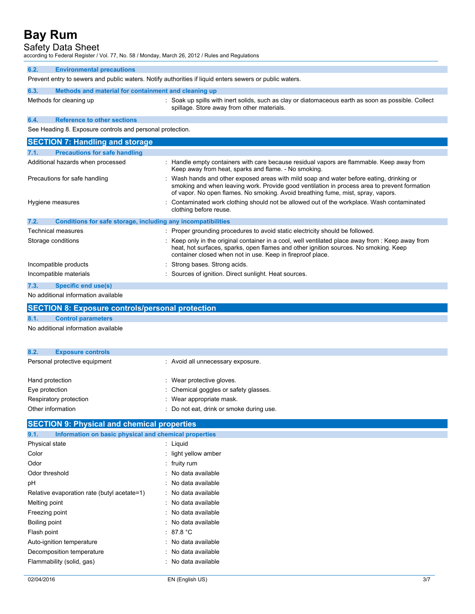## Safety Data Sheet

according to Federal Register / Vol. 77, No. 58 / Monday, March 26, 2012 / Rules and Regulations

| according to Federal Register / Vol. 77, No. 567 Monday, March 26, 2012 / Rules and Regulations         |                                                                                                                                                                                                                                                                              |  |  |
|---------------------------------------------------------------------------------------------------------|------------------------------------------------------------------------------------------------------------------------------------------------------------------------------------------------------------------------------------------------------------------------------|--|--|
| 6.2.<br><b>Environmental precautions</b>                                                                |                                                                                                                                                                                                                                                                              |  |  |
| Prevent entry to sewers and public waters. Notify authorities if liquid enters sewers or public waters. |                                                                                                                                                                                                                                                                              |  |  |
| 6.3.<br>Methods and material for containment and cleaning up                                            |                                                                                                                                                                                                                                                                              |  |  |
| Methods for cleaning up                                                                                 | : Soak up spills with inert solids, such as clay or diatomaceous earth as soon as possible. Collect<br>spillage. Store away from other materials.                                                                                                                            |  |  |
| <b>Reference to other sections</b><br>6.4.                                                              |                                                                                                                                                                                                                                                                              |  |  |
| See Heading 8. Exposure controls and personal protection.                                               |                                                                                                                                                                                                                                                                              |  |  |
| <b>SECTION 7: Handling and storage</b>                                                                  |                                                                                                                                                                                                                                                                              |  |  |
| <b>Precautions for safe handling</b><br>7.1.                                                            |                                                                                                                                                                                                                                                                              |  |  |
| Additional hazards when processed                                                                       | : Handle empty containers with care because residual vapors are flammable. Keep away from<br>Keep away from heat, sparks and flame. - No smoking.                                                                                                                            |  |  |
| Precautions for safe handling                                                                           | : Wash hands and other exposed areas with mild soap and water before eating, drinking or<br>smoking and when leaving work. Provide good ventilation in process area to prevent formation<br>of vapor. No open flames. No smoking. Avoid breathing fume, mist, spray, vapors. |  |  |
| Hygiene measures                                                                                        | : Contaminated work clothing should not be allowed out of the workplace. Wash contaminated<br>clothing before reuse.                                                                                                                                                         |  |  |
| 7.2.                                                                                                    | Conditions for safe storage, including any incompatibilities                                                                                                                                                                                                                 |  |  |

| $\mathbf{r}$ . | <b>UURINDIS IVI SAIG SURAYE, MURUAMIY ANY MUURINDININGS</b> |                                                                                                                                                                                                                                                         |
|----------------|-------------------------------------------------------------|---------------------------------------------------------------------------------------------------------------------------------------------------------------------------------------------------------------------------------------------------------|
|                | Technical measures                                          | : Proper grounding procedures to avoid static electricity should be followed.                                                                                                                                                                           |
|                | Storage conditions                                          | : Keep only in the original container in a cool, well ventilated place away from : Keep away from<br>heat, hot surfaces, sparks, open flames and other ignition sources. No smoking. Keep<br>container closed when not in use. Keep in fireproof place. |
|                | Incompatible products                                       | : Strong bases. Strong acids.                                                                                                                                                                                                                           |
|                | Incompatible materials                                      | : Sources of ignition. Direct sunlight. Heat sources.                                                                                                                                                                                                   |
| 7.3.           | Specific end use(s)                                         |                                                                                                                                                                                                                                                         |

No additional information available

|                   | <b>SECTION 8: Exposure controls/personal protection</b> |                                          |
|-------------------|---------------------------------------------------------|------------------------------------------|
| 8.1.              | <b>Control parameters</b>                               |                                          |
|                   | No additional information available                     |                                          |
|                   |                                                         |                                          |
| 8.2.              | <b>Exposure controls</b>                                |                                          |
|                   | Personal protective equipment                           | : Avoid all unnecessary exposure.        |
| Hand protection   |                                                         | : Wear protective gloves.                |
| Eye protection    |                                                         | : Chemical goggles or safety glasses.    |
|                   | Respiratory protection                                  | : Wear appropriate mask.                 |
| Other information |                                                         | : Do not eat, drink or smoke during use. |

## **SECTION 9: Physical and chemical properties**

| Information on basic physical and chemical properties<br>9.1. |                     |
|---------------------------------------------------------------|---------------------|
| Physical state                                                | Liguid              |
| Color                                                         | light yellow amber  |
| Odor                                                          | fruity rum          |
| Odor threshold                                                | : No data available |
| рH                                                            | No data available   |
| Relative evaporation rate (butyl acetate=1)                   | No data available   |
| Melting point                                                 | : No data available |
| Freezing point                                                | No data available   |
| Boiling point                                                 | No data available   |
| Flash point                                                   | : 87.8 °C           |
| Auto-ignition temperature                                     | No data available   |
| Decomposition temperature                                     | No data available   |
| Flammability (solid, gas)                                     | No data available   |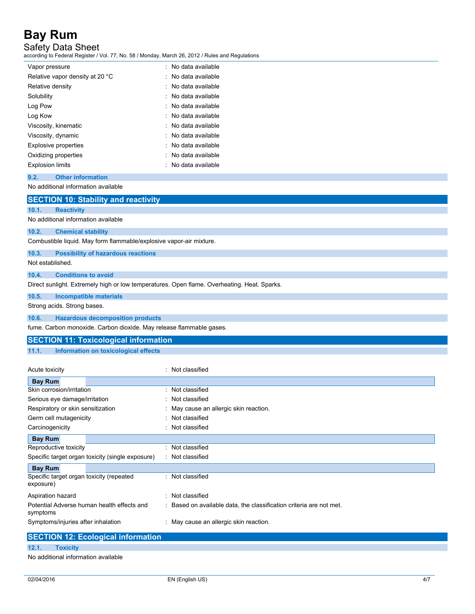Safety Data Sheet

according to Federal Register / Vol. 77, No. 58 / Monday, March 26, 2012 / Rules and Regulations

| Vapor pressure                  | No data available   |
|---------------------------------|---------------------|
| Relative vapor density at 20 °C | No data available   |
| Relative density                | No data available   |
| Solubility                      | No data available   |
| Log Pow                         | : No data available |
| Log Kow                         | : No data available |
| Viscosity, kinematic            | : No data available |
| Viscosity, dynamic              | : No data available |
| <b>Explosive properties</b>     | : No data available |
| Oxidizing properties            | : No data available |
| <b>Explosion limits</b>         | : No data available |

## **9.2. Other information**

No additional information available

|                  | <b>SECTION 10: Stability and reactivity</b>                                                 |
|------------------|---------------------------------------------------------------------------------------------|
| 10.1.            | <b>Reactivity</b>                                                                           |
|                  | No additional information available                                                         |
| 10.2.            | <b>Chemical stability</b>                                                                   |
|                  | Combustible liquid. May form flammable/explosive vapor-air mixture.                         |
| 10.3.            | <b>Possibility of hazardous reactions</b>                                                   |
| Not established. |                                                                                             |
| 10.4.            | <b>Conditions to avoid</b>                                                                  |
|                  | Direct sunlight. Extremely high or low temperatures. Open flame. Overheating. Heat. Sparks. |
| 10.5.            | Incompatible materials                                                                      |
|                  | Strong acids. Strong bases.                                                                 |
| 10.6.            | <b>Hazardous decomposition products</b>                                                     |

fume. Carbon monoxide. Carbon dioxide. May release flammable gases.

## **SECTION 11: Toxicological information**

**11.1. Information on toxicological effects**

| Acute toxicity                                                                                                                                                                                                                                                                                                                                                                       | Not classified                                                      |
|--------------------------------------------------------------------------------------------------------------------------------------------------------------------------------------------------------------------------------------------------------------------------------------------------------------------------------------------------------------------------------------|---------------------------------------------------------------------|
| <b>Bay Rum</b>                                                                                                                                                                                                                                                                                                                                                                       |                                                                     |
| Skin corrosion/irritation                                                                                                                                                                                                                                                                                                                                                            | Not classified                                                      |
| Serious eye damage/irritation                                                                                                                                                                                                                                                                                                                                                        | Not classified                                                      |
| Respiratory or skin sensitization                                                                                                                                                                                                                                                                                                                                                    | : May cause an allergic skin reaction.                              |
| Germ cell mutagenicity                                                                                                                                                                                                                                                                                                                                                               | Not classified                                                      |
| Carcinogenicity                                                                                                                                                                                                                                                                                                                                                                      | Not classified                                                      |
| <b>Bay Rum</b>                                                                                                                                                                                                                                                                                                                                                                       |                                                                     |
| Reproductive toxicity                                                                                                                                                                                                                                                                                                                                                                | Not classified                                                      |
| Specific target organ toxicity (single exposure)                                                                                                                                                                                                                                                                                                                                     | : Not classified                                                    |
| <b>Bay Rum</b>                                                                                                                                                                                                                                                                                                                                                                       |                                                                     |
| Specific target organ toxicity (repeated<br>exposure)                                                                                                                                                                                                                                                                                                                                | Not classified<br>۰.                                                |
| Aspiration hazard                                                                                                                                                                                                                                                                                                                                                                    | Not classified                                                      |
| Potential Adverse human health effects and<br>symptoms                                                                                                                                                                                                                                                                                                                               | : Based on available data, the classification criteria are not met. |
| Symptoms/injuries after inhalation                                                                                                                                                                                                                                                                                                                                                   | : May cause an allergic skin reaction.                              |
| $\overline{O}$ $\overline{O}$ $\overline{O}$ $\overline{O}$ $\overline{O}$ $\overline{O}$ $\overline{O}$ $\overline{O}$ $\overline{O}$ $\overline{O}$ $\overline{O}$ $\overline{O}$ $\overline{O}$ $\overline{O}$ $\overline{O}$ $\overline{O}$ $\overline{O}$ $\overline{O}$ $\overline{O}$ $\overline{O}$ $\overline{O}$ $\overline{O}$ $\overline{O}$ $\overline{O}$ $\overline{$ |                                                                     |

|       | <b>SECTION 12: Ecological information</b> |  |
|-------|-------------------------------------------|--|
| 12.1. | <b>Toxicity</b>                           |  |

No additional information available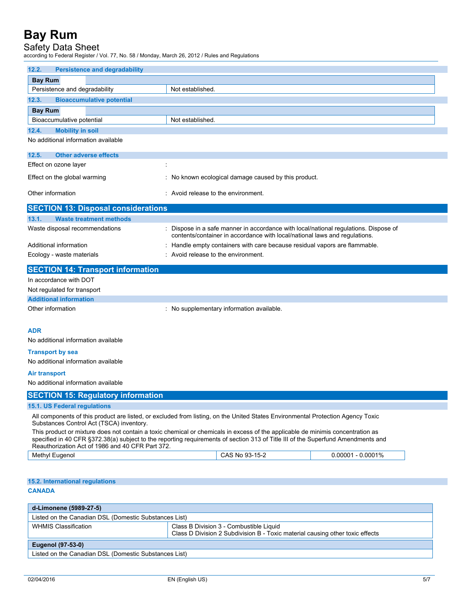# Safety Data Sheet

according to Federal Register / Vol. 77, No. 58 / Monday, March 26, 2012 / Rules and Regulations

| 12.2.<br><b>Persistence and degradability</b>                                   |                                                                                                                                                                                                                                                                    |                      |  |
|---------------------------------------------------------------------------------|--------------------------------------------------------------------------------------------------------------------------------------------------------------------------------------------------------------------------------------------------------------------|----------------------|--|
| <b>Bay Rum</b>                                                                  |                                                                                                                                                                                                                                                                    |                      |  |
| Persistence and degradability                                                   | Not established.                                                                                                                                                                                                                                                   |                      |  |
| 12.3.<br><b>Bioaccumulative potential</b>                                       |                                                                                                                                                                                                                                                                    |                      |  |
| <b>Bay Rum</b>                                                                  |                                                                                                                                                                                                                                                                    |                      |  |
| Bioaccumulative potential                                                       | Not established.                                                                                                                                                                                                                                                   |                      |  |
| 12.4.<br><b>Mobility in soil</b>                                                |                                                                                                                                                                                                                                                                    |                      |  |
| No additional information available                                             |                                                                                                                                                                                                                                                                    |                      |  |
| 12.5.<br><b>Other adverse effects</b>                                           |                                                                                                                                                                                                                                                                    |                      |  |
| Effect on ozone layer<br>÷                                                      |                                                                                                                                                                                                                                                                    |                      |  |
| Effect on the global warming                                                    | : No known ecological damage caused by this product.                                                                                                                                                                                                               |                      |  |
|                                                                                 |                                                                                                                                                                                                                                                                    |                      |  |
| Other information                                                               | : Avoid release to the environment.                                                                                                                                                                                                                                |                      |  |
| <b>SECTION 13: Disposal considerations</b>                                      |                                                                                                                                                                                                                                                                    |                      |  |
| 13.1.<br><b>Waste treatment methods</b>                                         |                                                                                                                                                                                                                                                                    |                      |  |
| Waste disposal recommendations                                                  | Dispose in a safe manner in accordance with local/national regulations. Dispose of<br>contents/container in accordance with local/national laws and regulations.                                                                                                   |                      |  |
| Additional information                                                          | Handle empty containers with care because residual vapors are flammable.                                                                                                                                                                                           |                      |  |
| Ecology - waste materials                                                       | : Avoid release to the environment.                                                                                                                                                                                                                                |                      |  |
| <b>SECTION 14: Transport information</b>                                        |                                                                                                                                                                                                                                                                    |                      |  |
| In accordance with DOT                                                          |                                                                                                                                                                                                                                                                    |                      |  |
| Not regulated for transport                                                     |                                                                                                                                                                                                                                                                    |                      |  |
| <b>Additional information</b>                                                   |                                                                                                                                                                                                                                                                    |                      |  |
| Other information                                                               | : No supplementary information available.                                                                                                                                                                                                                          |                      |  |
| <b>ADR</b><br>No additional information available                               |                                                                                                                                                                                                                                                                    |                      |  |
| <b>Transport by sea</b>                                                         |                                                                                                                                                                                                                                                                    |                      |  |
| No additional information available                                             |                                                                                                                                                                                                                                                                    |                      |  |
| <b>Air transport</b>                                                            |                                                                                                                                                                                                                                                                    |                      |  |
| No additional information available                                             |                                                                                                                                                                                                                                                                    |                      |  |
| <b>SECTION 15: Regulatory information</b>                                       |                                                                                                                                                                                                                                                                    |                      |  |
| 15.1. US Federal regulations                                                    |                                                                                                                                                                                                                                                                    |                      |  |
| Substances Control Act (TSCA) inventory.                                        | All components of this product are listed, or excluded from listing, on the United States Environmental Protection Agency Toxic                                                                                                                                    |                      |  |
| Reauthorization Act of 1986 and 40 CFR Part 372.                                | This product or mixture does not contain a toxic chemical or chemicals in excess of the applicable de minimis concentration as<br>specified in 40 CFR §372.38(a) subject to the reporting requirements of section 313 of Title III of the Superfund Amendments and |                      |  |
| Methyl Eugenol                                                                  | CAS No 93-15-2                                                                                                                                                                                                                                                     | $0.00001 - 0.0001\%$ |  |
| 15.2. International regulations<br><b>CANADA</b>                                |                                                                                                                                                                                                                                                                    |                      |  |
|                                                                                 |                                                                                                                                                                                                                                                                    |                      |  |
| d-Limonene (5989-27-5)<br>Listed on the Canadian DSL (Domestic Substances List) |                                                                                                                                                                                                                                                                    |                      |  |
| <b>WHMIS Classification</b>                                                     | Class B Division 3 - Combustible Liquid                                                                                                                                                                                                                            |                      |  |
|                                                                                 | Class D Division 2 Subdivision B - Toxic material causing other toxic effects                                                                                                                                                                                      |                      |  |
| <b>Eugenol (97-53-0)</b>                                                        |                                                                                                                                                                                                                                                                    |                      |  |
| Listed on the Canadian DSL (Domestic Substances List)                           |                                                                                                                                                                                                                                                                    |                      |  |
|                                                                                 |                                                                                                                                                                                                                                                                    |                      |  |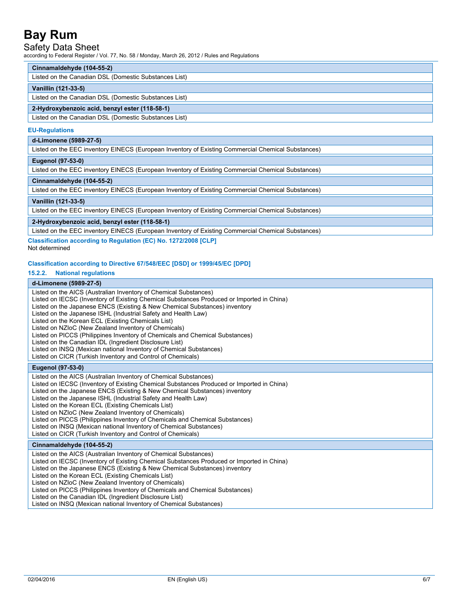## Safety Data Sheet

according to Federal Register / Vol. 77, No. 58 / Monday, March 26, 2012 / Rules and Regulations

### **Cinnamaldehyde (104-55-2)**

Listed on the Canadian DSL (Domestic Substances List)

### **Vanillin (121-33-5)**

Listed on the Canadian DSL (Domestic Substances List)

### **2-Hydroxybenzoic acid, benzyl ester (118-58-1)**

Listed on the Canadian DSL (Domestic Substances List)

#### **EU-Regulations**

### **d-Limonene (5989-27-5)**

Listed on the EEC inventory EINECS (European Inventory of Existing Commercial Chemical Substances)

### **Eugenol (97-53-0)**

Listed on the EEC inventory EINECS (European Inventory of Existing Commercial Chemical Substances)

### **Cinnamaldehyde (104-55-2)**

Listed on the EEC inventory EINECS (European Inventory of Existing Commercial Chemical Substances)

### **Vanillin (121-33-5)**

Listed on the EEC inventory EINECS (European Inventory of Existing Commercial Chemical Substances)

## **2-Hydroxybenzoic acid, benzyl ester (118-58-1)**

Listed on the EEC inventory EINECS (European Inventory of Existing Commercial Chemical Substances)

## **Classification according to Regulation (EC) No. 1272/2008 [CLP]**

Not determined

### **Classification according to Directive 67/548/EEC [DSD] or 1999/45/EC [DPD]**

### **15.2.2. National regulations**

## **d-Limonene (5989-27-5)**

| Listed on the AICS (Australian Inventory of Chemical Substances)<br>Listed on IECSC (Inventory of Existing Chemical Substances Produced or Imported in China)<br>Listed on the Japanese ENCS (Existing & New Chemical Substances) inventory<br>Listed on the Japanese ISHL (Industrial Safety and Health Law)<br>Listed on the Korean ECL (Existing Chemicals List)<br>Listed on NZIoC (New Zealand Inventory of Chemicals)<br>Listed on PICCS (Philippines Inventory of Chemicals and Chemical Substances)<br>Listed on the Canadian IDL (Ingredient Disclosure List)<br>Listed on INSQ (Mexican national Inventory of Chemical Substances)<br>Listed on CICR (Turkish Inventory and Control of Chemicals) |
|-------------------------------------------------------------------------------------------------------------------------------------------------------------------------------------------------------------------------------------------------------------------------------------------------------------------------------------------------------------------------------------------------------------------------------------------------------------------------------------------------------------------------------------------------------------------------------------------------------------------------------------------------------------------------------------------------------------|
| Eugenol (97-53-0)                                                                                                                                                                                                                                                                                                                                                                                                                                                                                                                                                                                                                                                                                           |
| Listed on the AICS (Australian Inventory of Chemical Substances)<br>Listed on IECSC (Inventory of Existing Chemical Substances Produced or Imported in China)<br>Listed on the Japanese ENCS (Existing & New Chemical Substances) inventory<br>Listed on the Japanese ISHL (Industrial Safety and Health Law)<br>Listed on the Korean ECL (Existing Chemicals List)<br>Listed on NZIoC (New Zealand Inventory of Chemicals)<br>Listed on PICCS (Philippines Inventory of Chemicals and Chemical Substances)<br>Listed on INSQ (Mexican national Inventory of Chemical Substances)<br>Listed on CICR (Turkish Inventory and Control of Chemicals)                                                            |
| Cinnamaldehyde (104-55-2)                                                                                                                                                                                                                                                                                                                                                                                                                                                                                                                                                                                                                                                                                   |
| Listed on the AICS (Australian Inventory of Chemical Substances)<br>Listed on IECSC (Inventory of Existing Chemical Substances Produced or Imported in China)<br>Listed on the Japanese ENCS (Existing & New Chemical Substances) inventory<br>Listed on the Korean ECL (Existing Chemicals List)<br>Listed on NZIoC (New Zealand Inventory of Chemicals)<br>Listed on PICCS (Philippines Inventory of Chemicals and Chemical Substances)<br>Listed on the Canadian IDL (Ingredient Disclosure List)<br>Listed on INSQ (Mexican national Inventory of Chemical Substances)                                                                                                                                  |